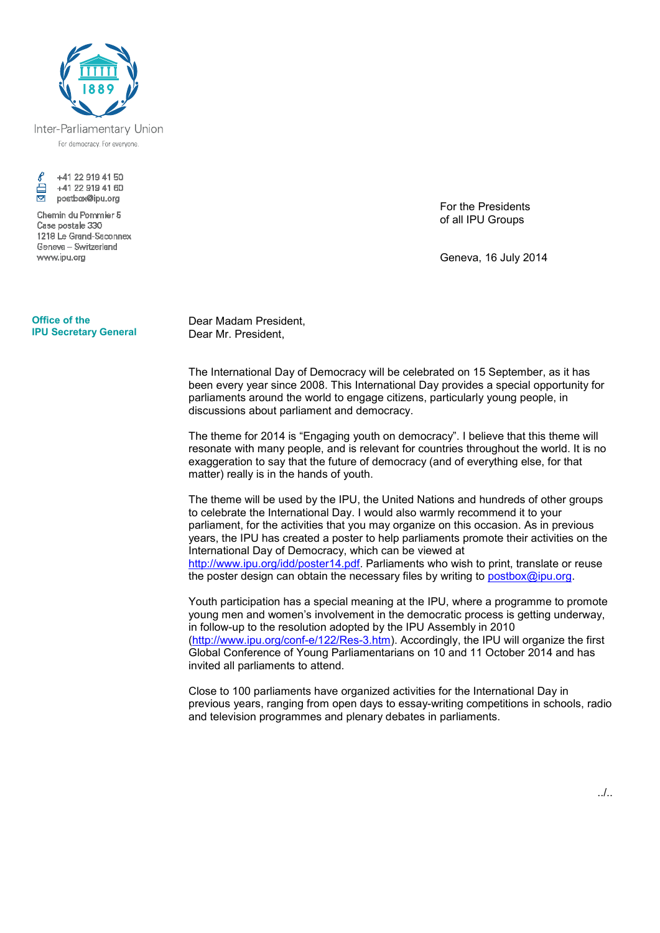

Inter-Parliamentary Union For democracy, For everyone,



Chemin du Pommier 5 Case postale 330 1218 Le Grand-Saconnex Geneva - Switzerland www.ipu.org

## **Office of the IPU Secretary General**

Dear Madam President, Dear Mr. President,

The International Day of Democracy will be celebrated on 15 September, as it has been every year since 2008. This International Day provides a special opportunity for parliaments around the world to engage citizens, particularly young people, in discussions about parliament and democracy.

The theme for 2014 is "Engaging youth on democracy". I believe that this theme will resonate with many people, and is relevant for countries throughout the world. It is no exaggeration to say that the future of democracy (and of everything else, for that matter) really is in the hands of youth.

The theme will be used by the IPU, the United Nations and hundreds of other groups to celebrate the International Day. I would also warmly recommend it to your parliament, for the activities that you may organize on this occasion. As in previous years, the IPU has created a poster to help parliaments promote their activities on the International Day of Democracy, which can be viewed at http://www.ipu.org/idd/poster14.pdf. Parliaments who wish to print, translate or reuse the poster design can obtain the necessary files by writing to postbox@ipu.org.

Youth participation has a special meaning at the IPU, where a programme to promote young men and women's involvement in the democratic process is getting underway, in follow-up to the resolution adopted by the IPU Assembly in 2010 (http://www.ipu.org/conf-e/122/Res-3.htm). Accordingly, the IPU will organize the first Global Conference of Young Parliamentarians on 10 and 11 October 2014 and has invited all parliaments to attend.

Close to 100 parliaments have organized activities for the International Day in previous years, ranging from open days to essay-writing competitions in schools, radio and television programmes and plenary debates in parliaments.

For the Presidents of all IPU Groups

Geneva, 16 July 2014